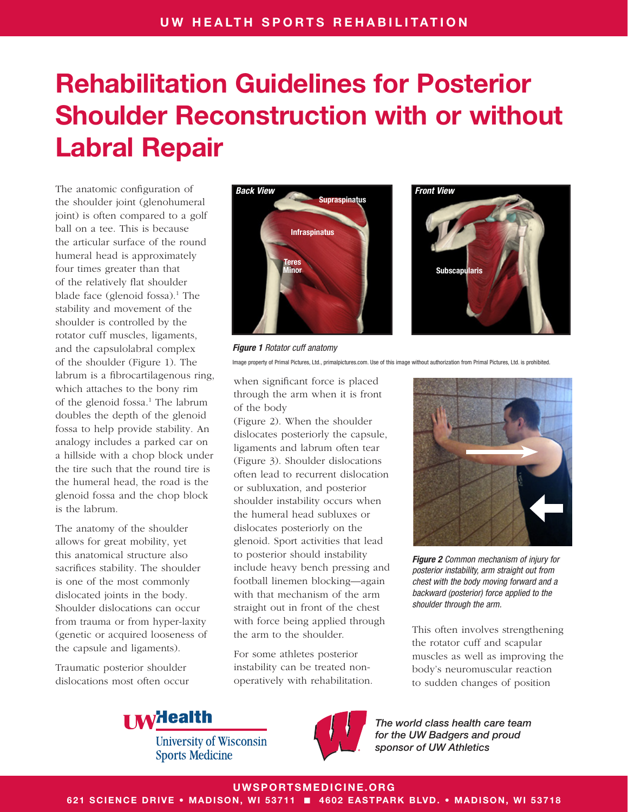The anatomic configuration of the shoulder joint (glenohumeral joint) is often compared to a golf ball on a tee. This is because the articular surface of the round humeral head is approximately four times greater than that of the relatively flat shoulder blade face (glenoid fossa).<sup>1</sup> The stability and movement of the shoulder is controlled by the rotator cuff muscles, ligaments, and the capsulolabral complex of the shoulder (Figure 1). The labrum is a fibrocartilagenous ring, which attaches to the bony rim of the glenoid fossa.<sup>1</sup> The labrum doubles the depth of the glenoid fossa to help provide stability. An analogy includes a parked car on a hillside with a chop block under the tire such that the round tire is the humeral head, the road is the glenoid fossa and the chop block is the labrum.

The anatomy of the shoulder allows for great mobility, yet this anatomical structure also sacrifices stability. The shoulder is one of the most commonly dislocated joints in the body. Shoulder dislocations can occur from trauma or from hyper-laxity (genetic or acquired looseness of the capsule and ligaments).

Traumatic posterior shoulder dislocations most often occur



*Figure 1 Rotator cuff anatomy* Image property of Primal Pictures, Ltd., primalpictures.com. Use of this image without authorization from Primal Pictures, Ltd. is prohibited.

when significant force is placed through the arm when it is front of the body

(Figure 2). When the shoulder dislocates posteriorly the capsule, ligaments and labrum often tear (Figure 3). Shoulder dislocations often lead to recurrent dislocation or subluxation, and posterior shoulder instability occurs when the humeral head subluxes or dislocates posteriorly on the glenoid. Sport activities that lead to posterior should instability include heavy bench pressing and football linemen blocking—again with that mechanism of the arm straight out in front of the chest with force being applied through the arm to the shoulder.

For some athletes posterior instability can be treated nonoperatively with rehabilitation.



*Figure 2 Common mechanism of injury for posterior instability, arm straight out from chest with the body moving forward and a backward (posterior) force applied to the shoulder through the arm.*

This often involves strengthening the rotator cuff and scapular muscles as well as improving the body's neuromuscular reaction to sudden changes of position



**University of Wisconsin Sports Medicine** 



*The world class health care team for the UW Badgers and proud sponsor of UW Athletics*

UWSPORTSMEDICINE.ORG

621 SCIENCE DRIVE • MADISON, WI 53711 ■ 4602 EASTPARK BLVD. • MADISON, WI 53718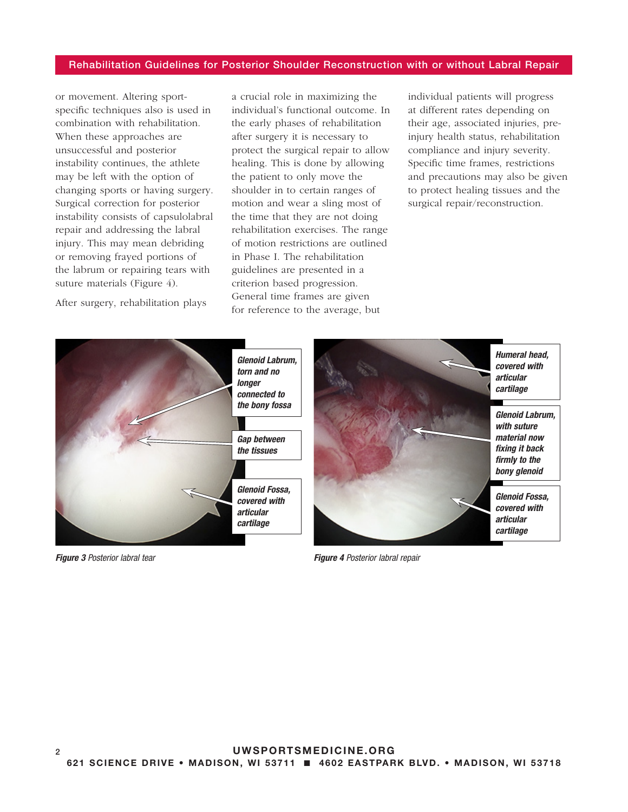or movement. Altering sportspecific techniques also is used in combination with rehabilitation. When these approaches are unsuccessful and posterior instability continues, the athlete may be left with the option of changing sports or having surgery. Surgical correction for posterior instability consists of capsulolabral repair and addressing the labral injury. This may mean debriding or removing frayed portions of the labrum or repairing tears with suture materials (Figure 4).

After surgery, rehabilitation plays

a crucial role in maximizing the individual's functional outcome. In the early phases of rehabilitation after surgery it is necessary to protect the surgical repair to allow healing. This is done by allowing the patient to only move the shoulder in to certain ranges of motion and wear a sling most of the time that they are not doing rehabilitation exercises. The range of motion restrictions are outlined in Phase I. The rehabilitation guidelines are presented in a criterion based progression. General time frames are given for reference to the average, but

individual patients will progress at different rates depending on their age, associated injuries, preinjury health status, rehabilitation compliance and injury severity. Specific time frames, restrictions and precautions may also be given to protect healing tissues and the surgical repair/reconstruction.



*Figure 3 Posterior labral tear Figure 4 Posterior labral repair*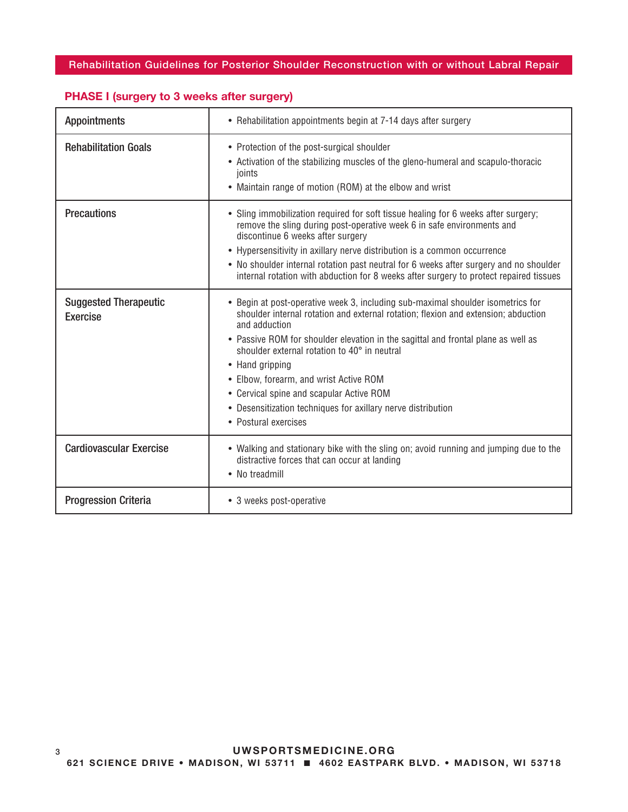| <b>Appointments</b>                      | • Rehabilitation appointments begin at 7-14 days after surgery                                                                                                                                                                                                                                                                                                                                                                                                                                                               |
|------------------------------------------|------------------------------------------------------------------------------------------------------------------------------------------------------------------------------------------------------------------------------------------------------------------------------------------------------------------------------------------------------------------------------------------------------------------------------------------------------------------------------------------------------------------------------|
| <b>Rehabilitation Goals</b>              | • Protection of the post-surgical shoulder<br>• Activation of the stabilizing muscles of the gleno-humeral and scapulo-thoracic<br>ioints<br>• Maintain range of motion (ROM) at the elbow and wrist                                                                                                                                                                                                                                                                                                                         |
| <b>Precautions</b>                       | • Sling immobilization required for soft tissue healing for 6 weeks after surgery;<br>remove the sling during post-operative week 6 in safe environments and<br>discontinue 6 weeks after surgery<br>• Hypersensitivity in axillary nerve distribution is a common occurrence<br>• No shoulder internal rotation past neutral for 6 weeks after surgery and no shoulder<br>internal rotation with abduction for 8 weeks after surgery to protect repaired tissues                                                            |
| <b>Suggested Therapeutic</b><br>Exercise | • Begin at post-operative week 3, including sub-maximal shoulder isometrics for<br>shoulder internal rotation and external rotation; flexion and extension; abduction<br>and adduction<br>• Passive ROM for shoulder elevation in the sagittal and frontal plane as well as<br>shoulder external rotation to 40° in neutral<br>• Hand gripping<br>• Elbow, forearm, and wrist Active ROM<br>• Cervical spine and scapular Active ROM<br>• Desensitization techniques for axillary nerve distribution<br>• Postural exercises |
| <b>Cardiovascular Exercise</b>           | • Walking and stationary bike with the sling on; avoid running and jumping due to the<br>distractive forces that can occur at landing<br>• No treadmill                                                                                                                                                                                                                                                                                                                                                                      |
| <b>Progression Criteria</b>              | • 3 weeks post-operative                                                                                                                                                                                                                                                                                                                                                                                                                                                                                                     |

## PHASE I (surgery to 3 weeks after surgery)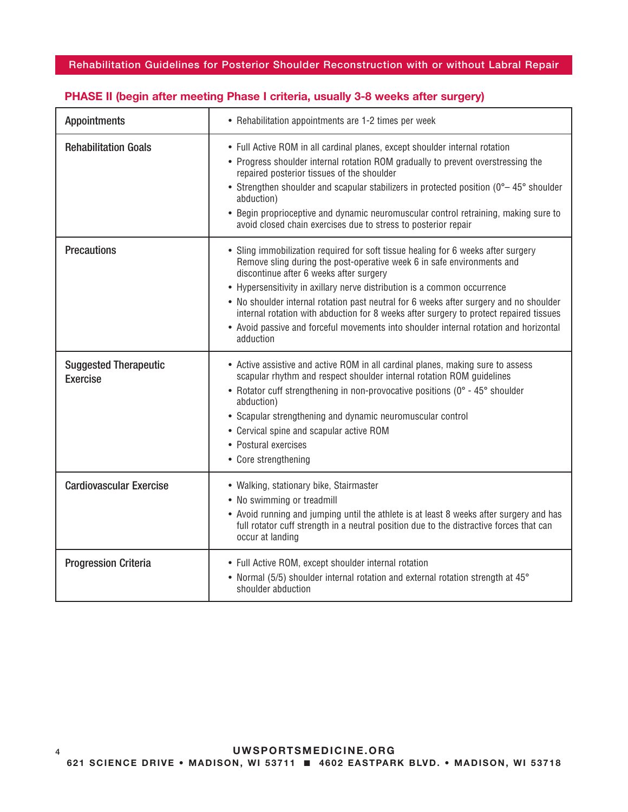| <b>Appointments</b>                             | • Rehabilitation appointments are 1-2 times per week                                                                                                                                                                                                                                                                                                                                                                                                                                                                                                                         |
|-------------------------------------------------|------------------------------------------------------------------------------------------------------------------------------------------------------------------------------------------------------------------------------------------------------------------------------------------------------------------------------------------------------------------------------------------------------------------------------------------------------------------------------------------------------------------------------------------------------------------------------|
| <b>Rehabilitation Goals</b>                     | • Full Active ROM in all cardinal planes, except shoulder internal rotation<br>• Progress shoulder internal rotation ROM gradually to prevent overstressing the<br>repaired posterior tissues of the shoulder<br>• Strengthen shoulder and scapular stabilizers in protected position (0°-45° shoulder<br>abduction)<br>• Begin proprioceptive and dynamic neuromuscular control retraining, making sure to<br>avoid closed chain exercises due to stress to posterior repair                                                                                                |
| <b>Precautions</b>                              | • Sling immobilization required for soft tissue healing for 6 weeks after surgery<br>Remove sling during the post-operative week 6 in safe environments and<br>discontinue after 6 weeks after surgery<br>• Hypersensitivity in axillary nerve distribution is a common occurrence<br>• No shoulder internal rotation past neutral for 6 weeks after surgery and no shoulder<br>internal rotation with abduction for 8 weeks after surgery to protect repaired tissues<br>• Avoid passive and forceful movements into shoulder internal rotation and horizontal<br>adduction |
| <b>Suggested Therapeutic</b><br><b>Exercise</b> | • Active assistive and active ROM in all cardinal planes, making sure to assess<br>scapular rhythm and respect shoulder internal rotation ROM guidelines<br>• Rotator cuff strengthening in non-provocative positions (0° - 45° shoulder<br>abduction)<br>• Scapular strengthening and dynamic neuromuscular control<br>• Cervical spine and scapular active ROM<br>• Postural exercises<br>• Core strengthening                                                                                                                                                             |
| <b>Cardiovascular Exercise</b>                  | • Walking, stationary bike, Stairmaster<br>• No swimming or treadmill<br>• Avoid running and jumping until the athlete is at least 8 weeks after surgery and has<br>full rotator cuff strength in a neutral position due to the distractive forces that can<br>occur at landing                                                                                                                                                                                                                                                                                              |
| <b>Progression Criteria</b>                     | • Full Active ROM, except shoulder internal rotation<br>• Normal (5/5) shoulder internal rotation and external rotation strength at 45°<br>shoulder abduction                                                                                                                                                                                                                                                                                                                                                                                                                |

## PHASE II (begin after meeting Phase I criteria, usually 3-8 weeks after surgery)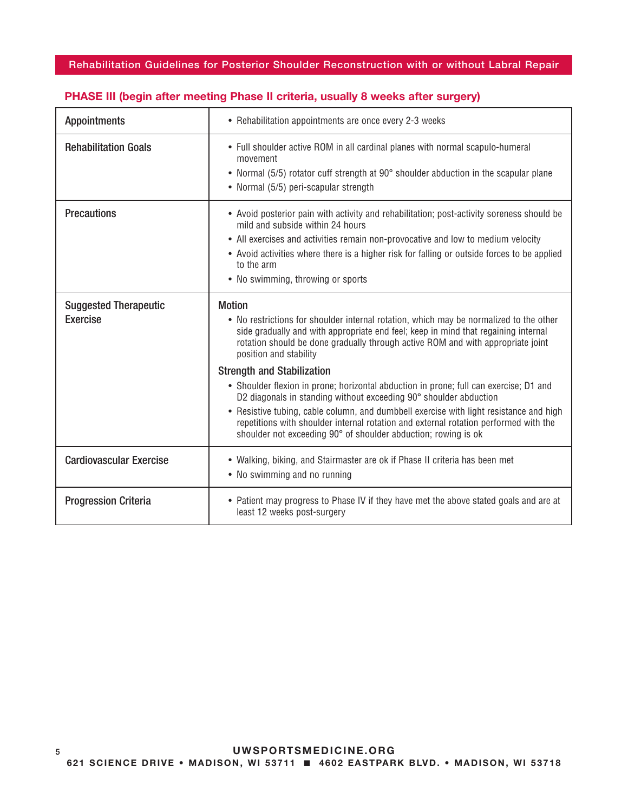| <b>Appointments</b>                             | • Rehabilitation appointments are once every 2-3 weeks                                                                                                                                                                                                                                                                                                                                                                                                                                                                                                                                                                                                                                                                                                            |
|-------------------------------------------------|-------------------------------------------------------------------------------------------------------------------------------------------------------------------------------------------------------------------------------------------------------------------------------------------------------------------------------------------------------------------------------------------------------------------------------------------------------------------------------------------------------------------------------------------------------------------------------------------------------------------------------------------------------------------------------------------------------------------------------------------------------------------|
| <b>Rehabilitation Goals</b>                     | • Full shoulder active ROM in all cardinal planes with normal scapulo-humeral<br>movement<br>• Normal (5/5) rotator cuff strength at 90° shoulder abduction in the scapular plane<br>• Normal (5/5) peri-scapular strength                                                                                                                                                                                                                                                                                                                                                                                                                                                                                                                                        |
| <b>Precautions</b>                              | • Avoid posterior pain with activity and rehabilitation; post-activity soreness should be<br>mild and subside within 24 hours<br>• All exercises and activities remain non-provocative and low to medium velocity<br>• Avoid activities where there is a higher risk for falling or outside forces to be applied<br>to the arm<br>• No swimming, throwing or sports                                                                                                                                                                                                                                                                                                                                                                                               |
| <b>Suggested Therapeutic</b><br><b>Exercise</b> | <b>Motion</b><br>• No restrictions for shoulder internal rotation, which may be normalized to the other<br>side gradually and with appropriate end feel; keep in mind that regaining internal<br>rotation should be done gradually through active ROM and with appropriate joint<br>position and stability<br><b>Strength and Stabilization</b><br>• Shoulder flexion in prone; horizontal abduction in prone; full can exercise; D1 and<br>D2 diagonals in standing without exceeding 90° shoulder abduction<br>• Resistive tubing, cable column, and dumbbell exercise with light resistance and high<br>repetitions with shoulder internal rotation and external rotation performed with the<br>shoulder not exceeding 90° of shoulder abduction; rowing is ok |
| <b>Cardiovascular Exercise</b>                  | • Walking, biking, and Stairmaster are ok if Phase II criteria has been met<br>• No swimming and no running                                                                                                                                                                                                                                                                                                                                                                                                                                                                                                                                                                                                                                                       |
| <b>Progression Criteria</b>                     | • Patient may progress to Phase IV if they have met the above stated goals and are at<br>least 12 weeks post-surgery                                                                                                                                                                                                                                                                                                                                                                                                                                                                                                                                                                                                                                              |

#### PHASE III (begin after meeting Phase II criteria, usually 8 weeks after surgery)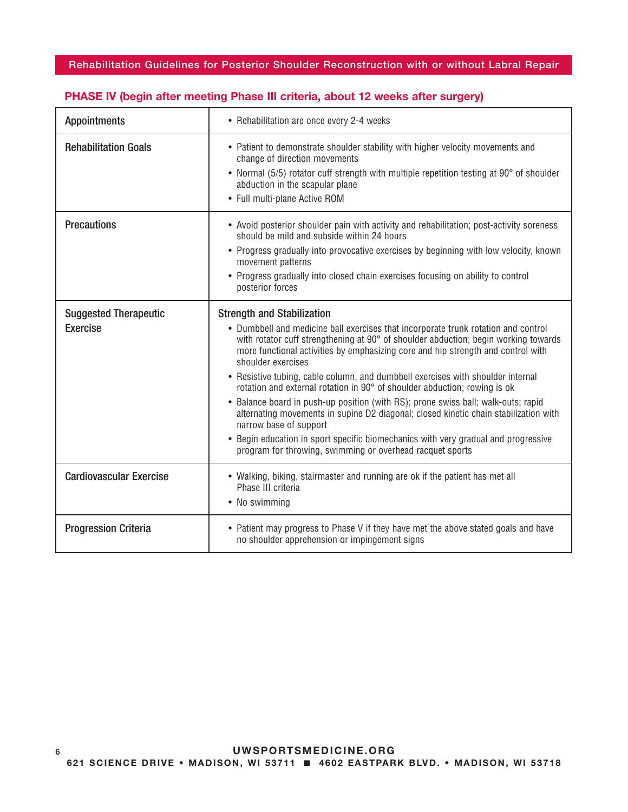| <b>Appointments</b>                             | • Rehabilitation are once every 2-4 weeks                                                                                                                                                                                                                                                                                                                                                                                                                                                                                                                                                                                                                                                                                                                                                                                                          |
|-------------------------------------------------|----------------------------------------------------------------------------------------------------------------------------------------------------------------------------------------------------------------------------------------------------------------------------------------------------------------------------------------------------------------------------------------------------------------------------------------------------------------------------------------------------------------------------------------------------------------------------------------------------------------------------------------------------------------------------------------------------------------------------------------------------------------------------------------------------------------------------------------------------|
| <b>Rehabilitation Goals</b>                     | • Patient to demonstrate shoulder stability with higher velocity movements and<br>change of direction movements<br>• Normal (5/5) rotator cuff strength with multiple repetition testing at 90° of shoulder<br>abduction in the scapular plane<br>• Full multi-plane Active ROM                                                                                                                                                                                                                                                                                                                                                                                                                                                                                                                                                                    |
| <b>Precautions</b>                              | • Avoid posterior shoulder pain with activity and rehabilitation; post-activity soreness<br>should be mild and subside within 24 hours<br>• Progress gradually into provocative exercises by beginning with low velocity, known<br>movement patterns<br>• Progress gradually into closed chain exercises focusing on ability to control<br>posterior forces                                                                                                                                                                                                                                                                                                                                                                                                                                                                                        |
| <b>Suggested Therapeutic</b><br><b>Exercise</b> | <b>Strength and Stabilization</b><br>• Dumbbell and medicine ball exercises that incorporate trunk rotation and control<br>with rotator cuff strengthening at 90° of shoulder abduction; begin working towards<br>more functional activities by emphasizing core and hip strength and control with<br>shoulder exercises<br>• Resistive tubing, cable column, and dumbbell exercises with shoulder internal<br>rotation and external rotation in 90° of shoulder abduction; rowing is ok<br>• Balance board in push-up position (with RS); prone swiss ball; walk-outs; rapid<br>alternating movements in supine D2 diagonal; closed kinetic chain stabilization with<br>narrow base of support<br>• Begin education in sport specific biomechanics with very gradual and progressive<br>program for throwing, swimming or overhead racquet sports |
| <b>Cardiovascular Exercise</b>                  | • Walking, biking, stairmaster and running are ok if the patient has met all<br>Phase III criteria<br>• No swimming                                                                                                                                                                                                                                                                                                                                                                                                                                                                                                                                                                                                                                                                                                                                |
| <b>Progression Criteria</b>                     | • Patient may progress to Phase V if they have met the above stated goals and have<br>no shoulder apprehension or impingement signs                                                                                                                                                                                                                                                                                                                                                                                                                                                                                                                                                                                                                                                                                                                |

## PHASE IV (begin after meeting Phase III criteria, about 12 weeks after surgery)